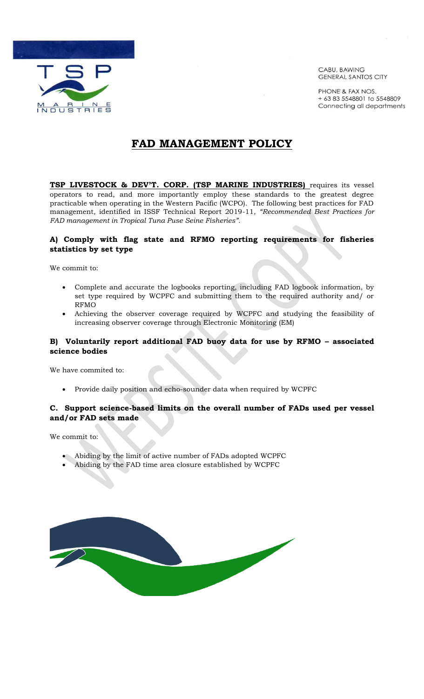

CABU, BAWING **GENERAL SANTOS CITY** 

PHONE' & FAX NOS. + 63 83 5548801 to 5548809 Connecting all departments

# **FAD MANAGEMENT POLICY**

**TSP LIVESTOCK & DEV'T. CORP. (TSP MARINE INDUSTRIES)** requires its vessel operators to read, and more importantly employ these standards to the greatest degree practicable when operating in the Western Pacific (WCPO). The following best practices for FAD management, identified in ISSF Technical Report 2019-11, *"Recommended Best Practices for FAD management in Tropical Tuna Puse Seine Fisheries".* 

## **A) Comply with flag state and RFMO reporting requirements for fisheries statistics by set type**

We commit to:

- Complete and accurate the logbooks reporting, including FAD logbook information, by set type required by WCPFC and submitting them to the required authority and/ or RFMO
- Achieving the observer coverage required by WCPFC and studying the feasibility of increasing observer coverage through Electronic Monitoring (EM)

## **B) Voluntarily report additional FAD buoy data for use by RFMO – associated science bodies**

We have commited to:

Provide daily position and echo-sounder data when required by WCPFC

## **C. Support science-based limits on the overall number of FADs used per vessel and/or FAD sets made**

We commit to:

- Abiding by the limit of active number of FADs adopted WCPFC
- Abiding by the FAD time area closure established by WCPFC